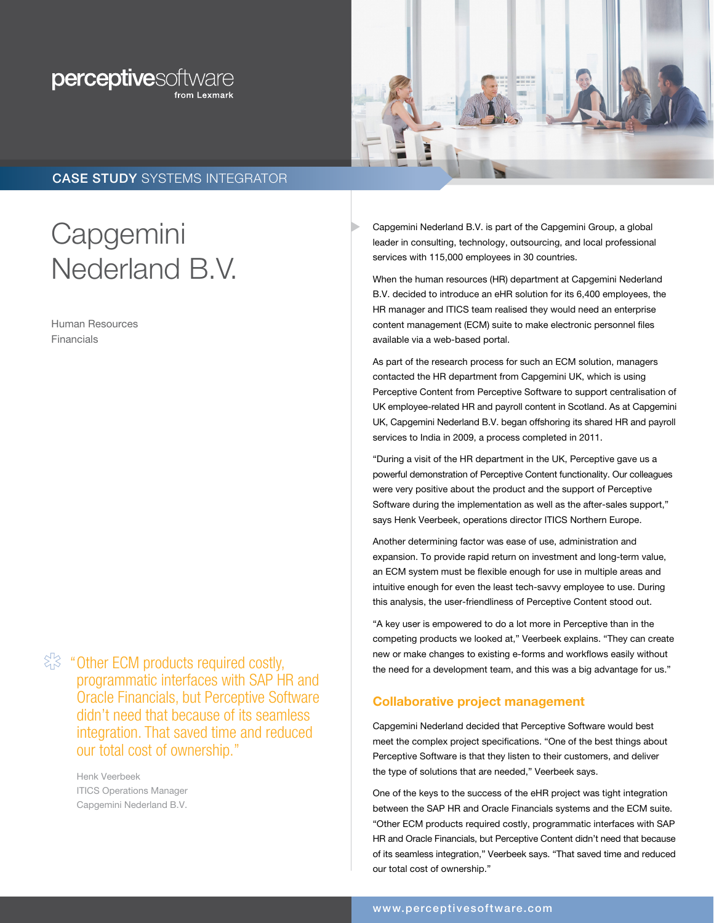# perceptivesoftware



## CASE STUDY SYSTEMS INTEGRATOR

# **Capgemini** Nederland B.V.

Human Resources Financials

 $\langle \xi | \xi \rangle$  "Other ECM products required costly, programmatic interfaces with SAP HR and Oracle Financials, but Perceptive Software didn't need that because of its seamless integration. That saved time and reduced our total cost of ownership."

> Henk Veerbeek ITICS Operations Manager Capgemini Nederland B.V.

Capgemini Nederland B.V. is part of the Capgemini Group, a global leader in consulting, technology, outsourcing, and local professional services with 115,000 employees in 30 countries.

When the human resources (HR) department at Capgemini Nederland B.V. decided to introduce an eHR solution for its 6,400 employees, the HR manager and ITICS team realised they would need an enterprise content management (ECM) suite to make electronic personnel files available via a web-based portal.

As part of the research process for such an ECM solution, managers contacted the HR department from Capgemini UK, which is using Perceptive Content from Perceptive Software to support centralisation of UK employee-related HR and payroll content in Scotland. As at Capgemini UK, Capgemini Nederland B.V. began offshoring its shared HR and payroll services to India in 2009, a process completed in 2011.

"During a visit of the HR department in the UK, Perceptive gave us a powerful demonstration of Perceptive Content functionality. Our colleagues were very positive about the product and the support of Perceptive Software during the implementation as well as the after-sales support," says Henk Veerbeek, operations director ITICS Northern Europe.

Another determining factor was ease of use, administration and expansion. To provide rapid return on investment and long-term value, an ECM system must be flexible enough for use in multiple areas and intuitive enough for even the least tech-savvy employee to use. During this analysis, the user-friendliness of Perceptive Content stood out.

"A key user is empowered to do a lot more in Perceptive than in the competing products we looked at," Veerbeek explains. "They can create new or make changes to existing e-forms and workflows easily without the need for a development team, and this was a big advantage for us."

### Collaborative project management

Capgemini Nederland decided that Perceptive Software would best meet the complex project specifications. "One of the best things about Perceptive Software is that they listen to their customers, and deliver the type of solutions that are needed," Veerbeek says.

One of the keys to the success of the eHR project was tight integration between the SAP HR and Oracle Financials systems and the ECM suite. "Other ECM products required costly, programmatic interfaces with SAP HR and Oracle Financials, but Perceptive Content didn't need that because of its seamless integration," Veerbeek says. "That saved time and reduced our total cost of ownership."